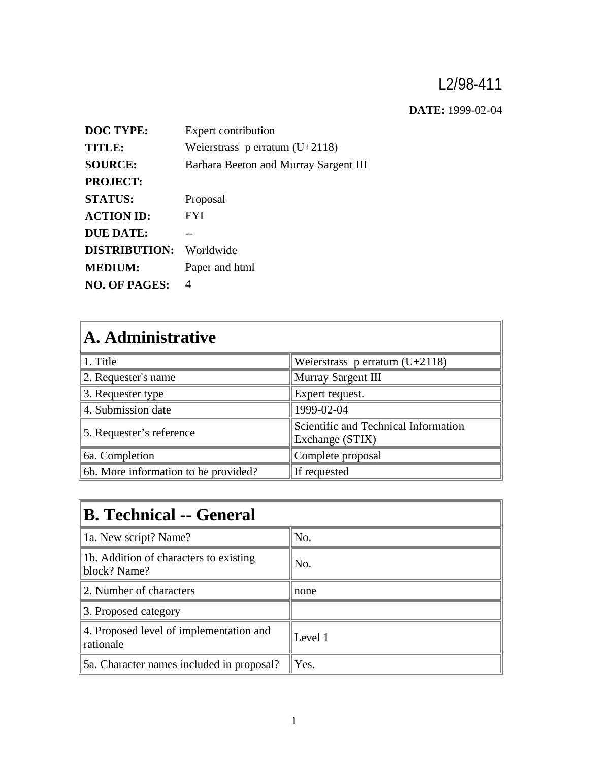## L2/98-411

**DATE:** 1999-02-04

| <b>DOC TYPE:</b>     | Expert contribution                   |
|----------------------|---------------------------------------|
| <b>TITLE:</b>        | Weierstrass p erratum $(U+2118)$      |
| <b>SOURCE:</b>       | Barbara Beeton and Murray Sargent III |
| <b>PROJECT:</b>      |                                       |
| <b>STATUS:</b>       | Proposal                              |
| <b>ACTION ID:</b>    | <b>FYI</b>                            |
| DUE DATE:            |                                       |
| <b>DISTRIBUTION:</b> | Worldwide                             |
| <b>MEDIUM:</b>       | Paper and html                        |
| <b>NO. OF PAGES:</b> | 4                                     |

| A. Administrative                    |                                                         |  |
|--------------------------------------|---------------------------------------------------------|--|
| 1. Title                             | Weierstrass p erratum $(U+2118)$                        |  |
| 2. Requester's name                  | Murray Sargent III                                      |  |
| 3. Requester type                    | Expert request.                                         |  |
| 4. Submission date                   | 1999-02-04                                              |  |
| 5. Requester's reference             | Scientific and Technical Information<br>Exchange (STIX) |  |
| 6a. Completion                       | Complete proposal                                       |  |
| 6b. More information to be provided? | If requested                                            |  |

| <b>B. Technical -- General</b>                         |         |  |
|--------------------------------------------------------|---------|--|
| 1a. New script? Name?                                  | No.     |  |
| 1b. Addition of characters to existing<br>block? Name? | No.     |  |
| 2. Number of characters                                | none    |  |
| 3. Proposed category                                   |         |  |
| 4. Proposed level of implementation and<br>rationale   | Level 1 |  |
| 5a. Character names included in proposal?              | Yes.    |  |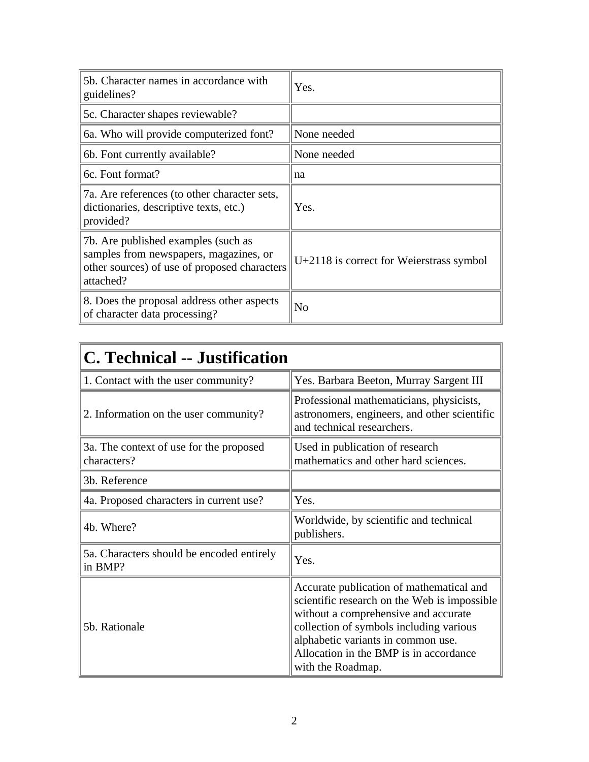| 5b. Character names in accordance with<br>guidelines?                                                                                      | Yes.                                     |  |
|--------------------------------------------------------------------------------------------------------------------------------------------|------------------------------------------|--|
| 5c. Character shapes reviewable?                                                                                                           |                                          |  |
| 6a. Who will provide computerized font?                                                                                                    | None needed                              |  |
| 6b. Font currently available?                                                                                                              | None needed                              |  |
| 6c. Font format?                                                                                                                           | na                                       |  |
| 7a. Are references (to other character sets,<br>dictionaries, descriptive texts, etc.)<br>provided?                                        | Yes.                                     |  |
| 7b. Are published examples (such as<br>samples from newspapers, magazines, or<br>other sources) of use of proposed characters<br>attached? | U+2118 is correct for Weierstrass symbol |  |
| 8. Does the proposal address other aspects<br>of character data processing?                                                                | No                                       |  |

| <b>C. Technical -- Justification</b>                   |                                                                                                                                                                                                                                                                                   |  |
|--------------------------------------------------------|-----------------------------------------------------------------------------------------------------------------------------------------------------------------------------------------------------------------------------------------------------------------------------------|--|
| 1. Contact with the user community?                    | Yes. Barbara Beeton, Murray Sargent III                                                                                                                                                                                                                                           |  |
| 2. Information on the user community?                  | Professional mathematicians, physicists,<br>astronomers, engineers, and other scientific<br>and technical researchers.                                                                                                                                                            |  |
| 3a. The context of use for the proposed<br>characters? | Used in publication of research<br>mathematics and other hard sciences.                                                                                                                                                                                                           |  |
| 3b. Reference                                          |                                                                                                                                                                                                                                                                                   |  |
| 4a. Proposed characters in current use?                | Yes.                                                                                                                                                                                                                                                                              |  |
| 4b. Where?                                             | Worldwide, by scientific and technical<br>publishers.                                                                                                                                                                                                                             |  |
| 5a. Characters should be encoded entirely<br>in BMP?   | Yes.                                                                                                                                                                                                                                                                              |  |
| 5b. Rationale                                          | Accurate publication of mathematical and<br>scientific research on the Web is impossible.<br>without a comprehensive and accurate<br>collection of symbols including various<br>alphabetic variants in common use.<br>Allocation in the BMP is in accordance<br>with the Roadmap. |  |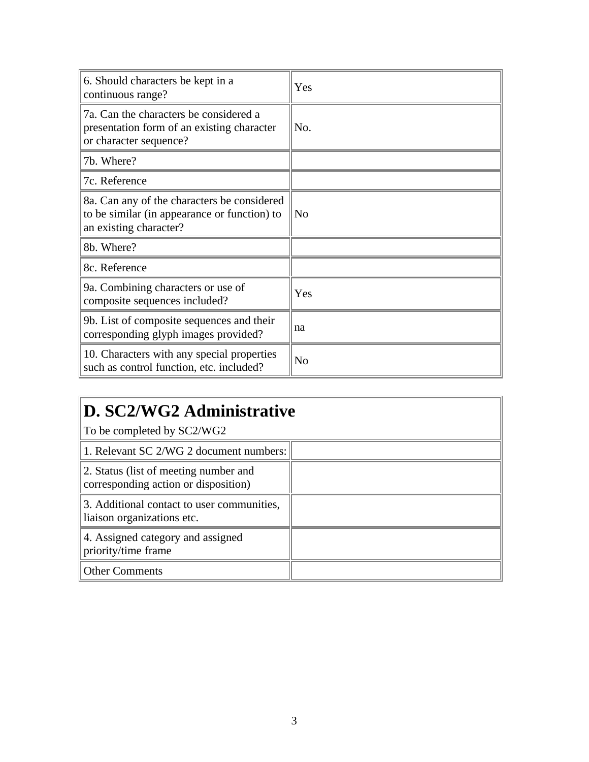| 6. Should characters be kept in a<br>continuous range?                                                                | Yes            |
|-----------------------------------------------------------------------------------------------------------------------|----------------|
| 7a. Can the characters be considered a<br>presentation form of an existing character<br>or character sequence?        | N <sub>O</sub> |
| 7b. Where?                                                                                                            |                |
| 7c. Reference                                                                                                         |                |
| 8a. Can any of the characters be considered<br>to be similar (in appearance or function) to<br>an existing character? | N <sub>0</sub> |
| 8b. Where?                                                                                                            |                |
| 8c. Reference                                                                                                         |                |
| 9a. Combining characters or use of<br>composite sequences included?                                                   | Yes            |
| 9b. List of composite sequences and their<br>corresponding glyph images provided?                                     | na             |
| 10. Characters with any special properties<br>such as control function, etc. included?                                | N <sub>o</sub> |

## **D. SC2/WG2 Administrative**

To be completed by SC2/WG2

| 1. Relevant SC 2/WG 2 document numbers:                                       |  |
|-------------------------------------------------------------------------------|--|
| 2. Status (list of meeting number and<br>corresponding action or disposition) |  |
| 3. Additional contact to user communities,<br>liaison organizations etc.      |  |
| 4. Assigned category and assigned<br>priority/time frame                      |  |
| <b>Other Comments</b>                                                         |  |